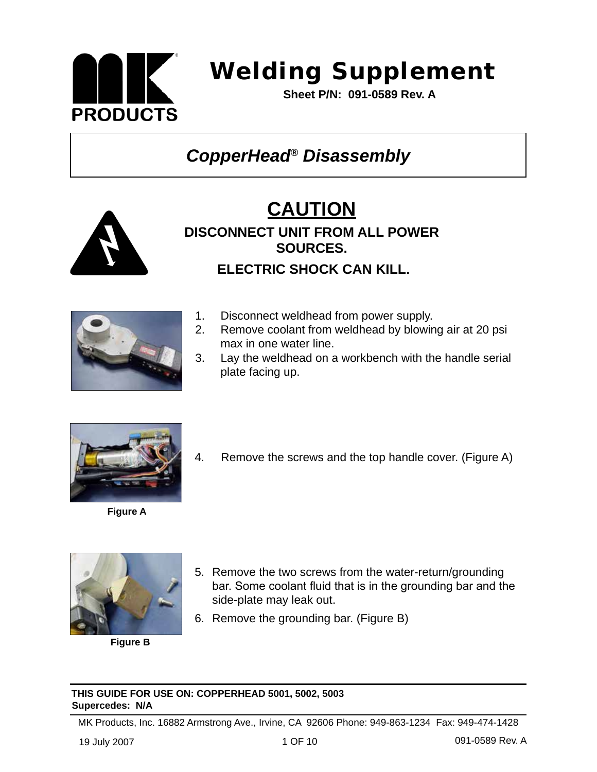

 **Sheet P/N: 091-0589 Rev. A** 

### *CopperHead® Disassembly*







- 1. Disconnect weldhead from power supply.
- 2. Remove coolant from weldhead by blowing air at 20 psi max in one water line.
- 3. Lay the weldhead on a workbench with the handle serial plate facing up.





4. Remove the screws and the top handle cover. (Figure A)



**Figure B**

- 5. Remove the two screws from the water-return/grounding bar. Some coolant fluid that is in the grounding bar and the side-plate may leak out.
- 6. Remove the grounding bar. (Figure B)

#### **THIS GUIDE FOR USE ON: COPPERHEAD 5001, 5002, 5003 Supercedes: N/A**

MK Products, Inc. 16882 Armstrong Ave., Irvine, CA 92606 Phone: 949-863-1234 Fax: 949-474-1428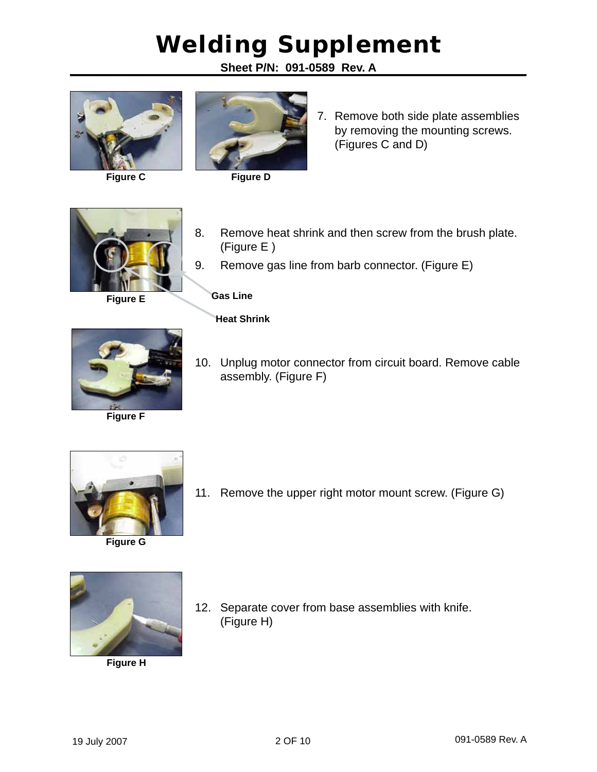**Sheet P/N: 091-0589 Rev. A**



**Figure C**



**Figure D**

7. Remove both side plate assemblies by removing the mounting screws. (Figures C and D)



**Figure E**

8. Remove heat shrink and then screw from the brush plate. (Figure E )

9. Remove gas line from barb connector. (Figure E)

#### **Gas Line**

#### **Heat Shrink**

(Figure H)



10. Unplug motor connector from circuit board. Remove cable assembly. (Figure F)



**Figure G**

![](_page_1_Picture_17.jpeg)

**Figure H**

11. Remove the upper right motor mount screw. (Figure G)

12. Separate cover from base assemblies with knife.

![](_page_1_Picture_20.jpeg)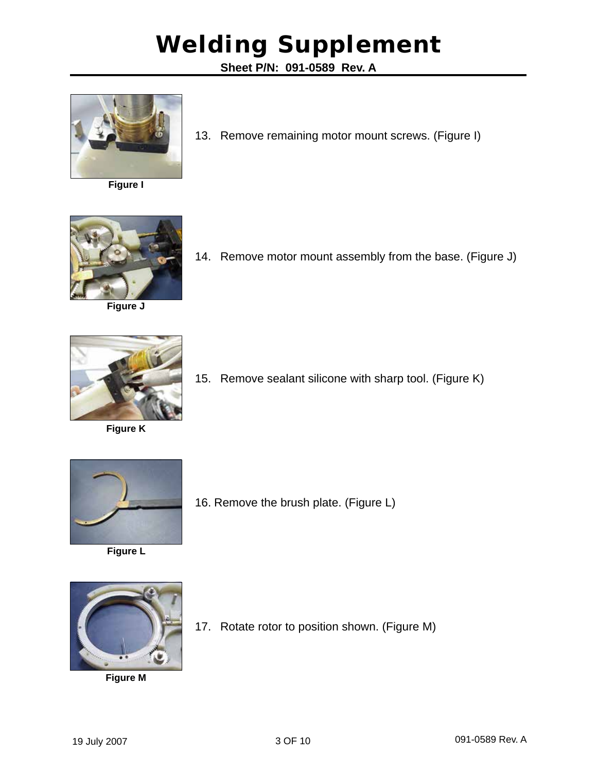**Sheet P/N: 091-0589 Rev. A**

![](_page_2_Picture_2.jpeg)

**Figure I**

![](_page_2_Picture_4.jpeg)

**Figure J**

13. Remove remaining motor mount screws. (Figure I)

![](_page_2_Picture_7.jpeg)

![](_page_2_Picture_8.jpeg)

**Figure K**

![](_page_2_Picture_10.jpeg)

![](_page_2_Picture_11.jpeg)

**Figure L**

16. Remove the brush plate. (Figure L)

![](_page_2_Picture_14.jpeg)

**Figure M**

17. Rotate rotor to position shown. (Figure M)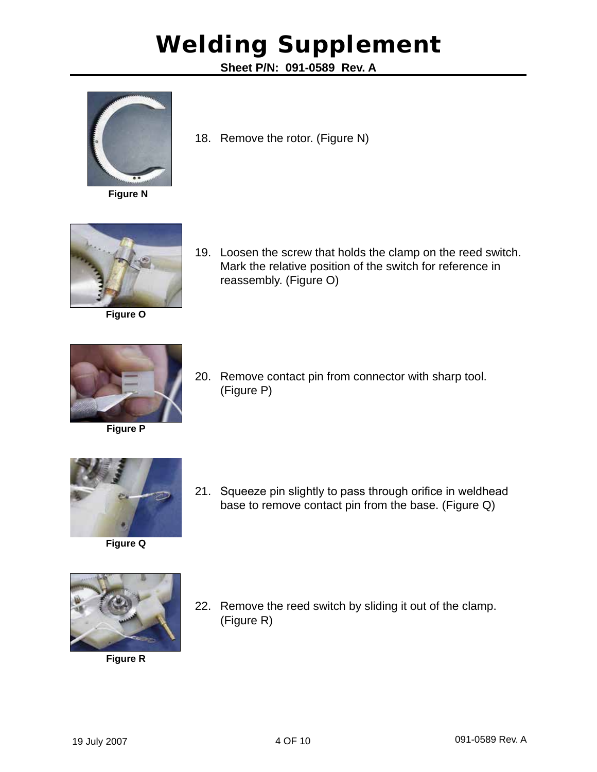**Sheet P/N: 091-0589 Rev. A**

![](_page_3_Picture_2.jpeg)

**Figure N**

![](_page_3_Picture_4.jpeg)

![](_page_3_Picture_5.jpeg)

**Figure O**

19. Loosen the screw that holds the clamp on the reed switch. Mark the relative position of the switch for reference in reassembly. (Figure O)

![](_page_3_Picture_8.jpeg)

**Figure P**

20. Remove contact pin from connector with sharp tool. (Figure P)

![](_page_3_Picture_11.jpeg)

21. Squeeze pin slightly to pass through orifice in weldhead base to remove contact pin from the base. (Figure Q)

![](_page_3_Picture_13.jpeg)

**Figure R**

22. Remove the reed switch by sliding it out of the clamp. (Figure R)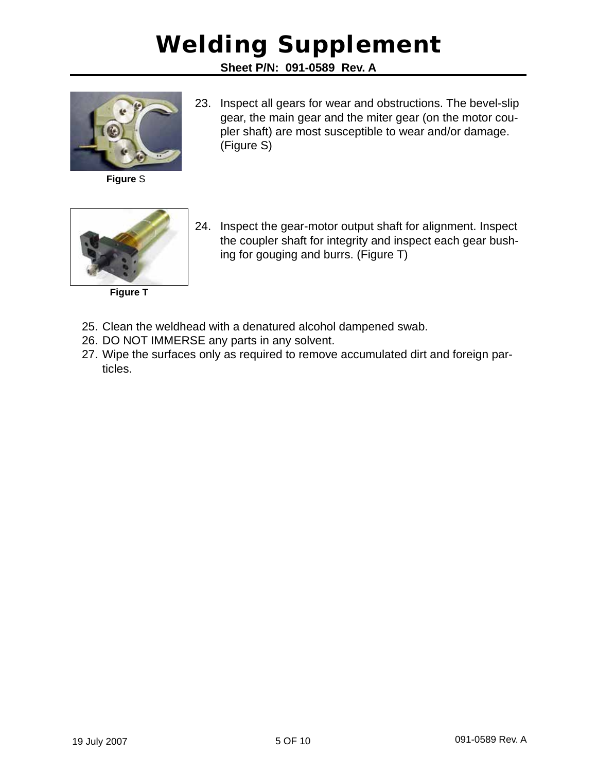**Sheet P/N: 091-0589 Rev. A**

![](_page_4_Picture_2.jpeg)

**Figure** S

23. Inspect all gears for wear and obstructions. The bevel-slip gear, the main gear and the miter gear (on the motor coupler shaft) are most susceptible to wear and/or damage. (Figure S)

![](_page_4_Picture_5.jpeg)

**Figure T**

- 24. Inspect the gear-motor output shaft for alignment. Inspect the coupler shaft for integrity and inspect each gear bushing for gouging and burrs. (Figure T)
- 25. Clean the weldhead with a denatured alcohol dampened swab.
- 26. DO NOT IMMERSE any parts in any solvent.
- 27. Wipe the surfaces only as required to remove accumulated dirt and foreign particles.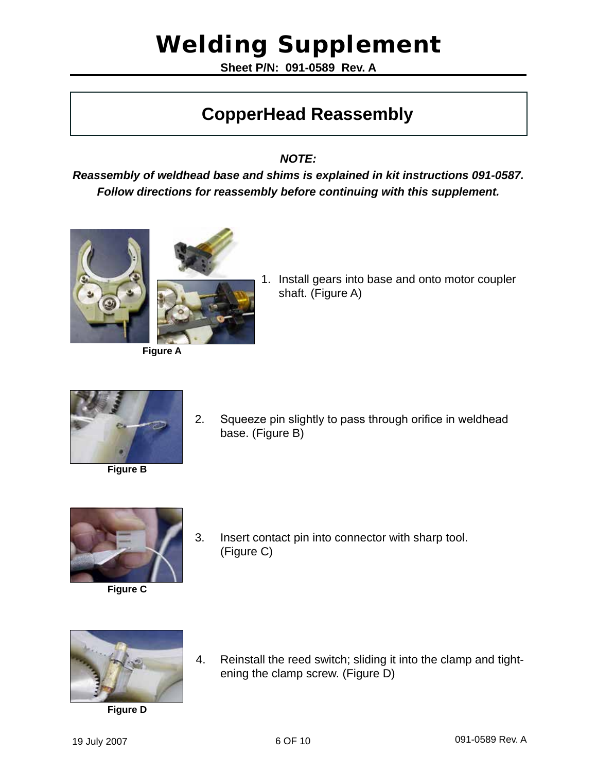**Sheet P/N: 091-0589 Rev. A**

#### **CopperHead Reassembly**

*NOTE:* 

*Reassembly of weldhead base and shims is explained in kit instructions 091-0587. Follow directions for reassembly before continuing with this supplement.*

![](_page_5_Picture_5.jpeg)

![](_page_5_Picture_6.jpeg)

**Figure A**

1. Install gears into base and onto motor coupler shaft. (Figure A)

![](_page_5_Picture_9.jpeg)

![](_page_5_Picture_11.jpeg)

**Figure B**

![](_page_5_Picture_13.jpeg)

base. (Figure B)

3. Insert contact pin into connector with sharp tool. (Figure C)

![](_page_5_Picture_15.jpeg)

**Figure C**

**Figure D**

4. Reinstall the reed switch; sliding it into the clamp and tightening the clamp screw. (Figure D)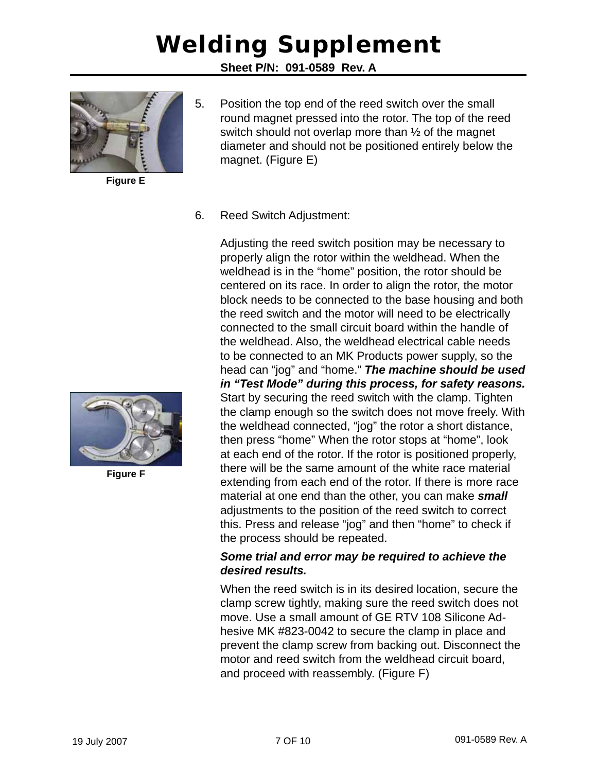**Sheet P/N: 091-0589 Rev. A**

![](_page_6_Picture_2.jpeg)

**Figure E**

5. Position the top end of the reed switch over the small round magnet pressed into the rotor. The top of the reed switch should not overlap more than ½ of the magnet diameter and should not be positioned entirely below the magnet. (Figure E)

#### 6. Reed Switch Adjustment:

Adjusting the reed switch position may be necessary to properly align the rotor within the weldhead. When the weldhead is in the "home" position, the rotor should be centered on its race. In order to align the rotor, the motor block needs to be connected to the base housing and both the reed switch and the motor will need to be electrically connected to the small circuit board within the handle of the weldhead. Also, the weldhead electrical cable needs to be connected to an MK Products power supply, so the head can "jog" and "home." *The machine should be used in "Test Mode" during this process, for safety reasons.* Start by securing the reed switch with the clamp. Tighten the clamp enough so the switch does not move freely. With the weldhead connected, "jog" the rotor a short distance, then press "home" When the rotor stops at "home", look at each end of the rotor. If the rotor is positioned properly, there will be the same amount of the white race material extending from each end of the rotor. If there is more race material at one end than the other, you can make *small* adjustments to the position of the reed switch to correct this. Press and release "jog" and then "home" to check if the process should be repeated.

#### *Some trial and error may be required to achieve the desired results.*

When the reed switch is in its desired location, secure the clamp screw tightly, making sure the reed switch does not move. Use a small amount of GE RTV 108 Silicone Adhesive MK #823-0042 to secure the clamp in place and prevent the clamp screw from backing out. Disconnect the motor and reed switch from the weldhead circuit board, and proceed with reassembly. (Figure F)

![](_page_6_Picture_9.jpeg)

**Figure F**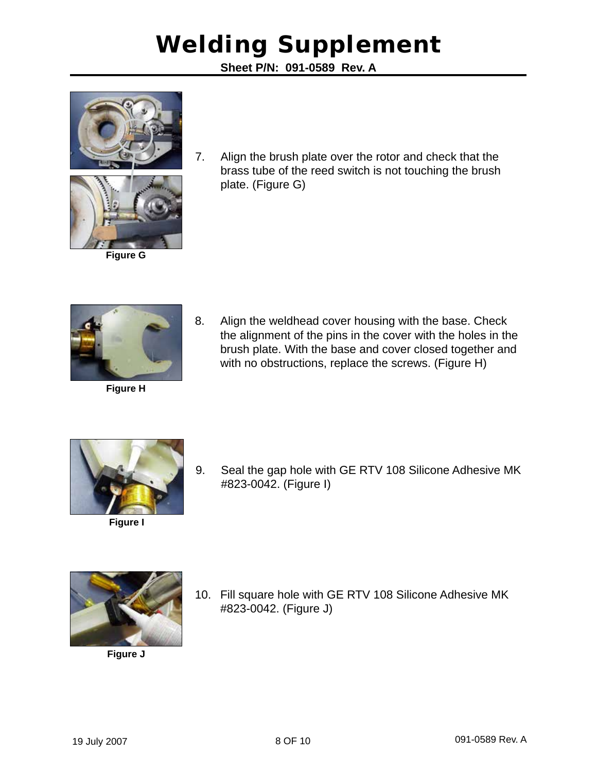**Sheet P/N: 091-0589 Rev. A**

![](_page_7_Picture_2.jpeg)

![](_page_7_Picture_3.jpeg)

7. Align the brush plate over the rotor and check that the brass tube of the reed switch is not touching the brush plate. (Figure G)

![](_page_7_Picture_5.jpeg)

**Figure G**

**Figure H**

8. Align the weldhead cover housing with the base. Check the alignment of the pins in the cover with the holes in the brush plate. With the base and cover closed together and with no obstructions, replace the screws. (Figure H)

![](_page_7_Picture_8.jpeg)

**Figure I**

9. Seal the gap hole with GE RTV 108 Silicone Adhesive MK #823-0042. (Figure I)

![](_page_7_Picture_11.jpeg)

**Figure J**

10. Fill square hole with GE RTV 108 Silicone Adhesive MK #823-0042. (Figure J)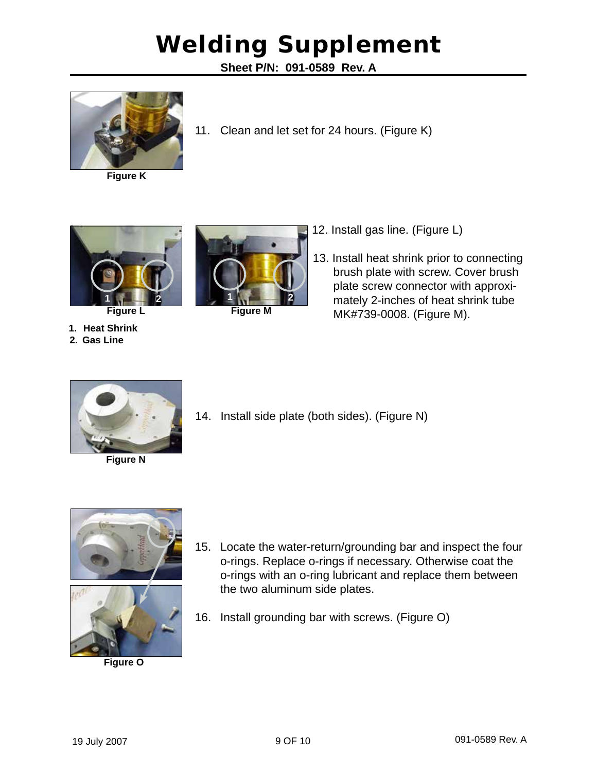**Sheet P/N: 091-0589 Rev. A**

11. Clean and let set for 24 hours. (Figure K)

![](_page_8_Picture_2.jpeg)

**Figure K**

![](_page_8_Picture_4.jpeg)

**Figure L Figure M**

- 12. Install gas line. (Figure L)
- 13. Install heat shrink prior to connecting brush plate with screw. Cover brush plate screw connector with approximately 2-inches of heat shrink tube MK#739-0008. (Figure M).

![](_page_8_Picture_8.jpeg)

**1. Heat Shrink 2. Gas Line**

**Figure N**

14. Install side plate (both sides). (Figure N)

![](_page_8_Picture_11.jpeg)

![](_page_8_Picture_12.jpeg)

**Figure O**

- 15. Locate the water-return/grounding bar and inspect the four o-rings. Replace o-rings if necessary. Otherwise coat the o-rings with an o-ring lubricant and replace them between the two aluminum side plates.
- 16. Install grounding bar with screws. (Figure O)